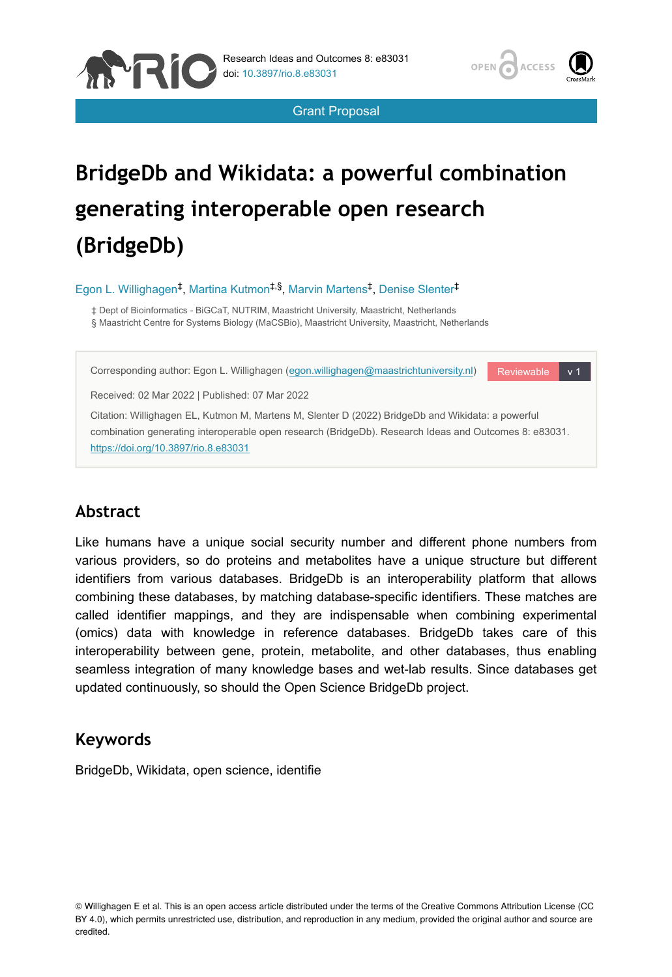



Grant Proposal

# **BridgeDb and Wikidata: a powerful combination generating interoperable open research (BridgeDb)**

Egon L. Willighagen<sup>‡</sup>, Martina Kutmon<sup>‡,§</sup>, Marvin Martens<sup>‡</sup>, Denise Slenter<sup>‡</sup>

‡ Dept of Bioinformatics - BiGCaT, NUTRIM, Maastricht University, Maastricht, Netherlands § Maastricht Centre for Systems Biology (MaCSBio), Maastricht University, Maastricht, Netherlands

Reviewable v 1 Corresponding author: Egon L. Willighagen ([egon.willighagen@maastrichtuniversity.nl](mailto:egon.willighagen@maastrichtuniversity.nl))

Received: 02 Mar 2022 | Published: 07 Mar 2022

Citation: Willighagen EL, Kutmon M, Martens M, Slenter D (2022) BridgeDb and Wikidata: a powerful combination generating interoperable open research (BridgeDb). Research Ideas and Outcomes 8: e83031. <https://doi.org/10.3897/rio.8.e83031>

# **Abstract**

Like humans have a unique social security number and different phone numbers from various providers, so do proteins and metabolites have a unique structure but different identifiers from various databases. BridgeDb is an interoperability platform that allows combining these databases, by matching database-specific identifiers. These matches are called identifier mappings, and they are indispensable when combining experimental (omics) data with knowledge in reference databases. BridgeDb takes care of this interoperability between gene, protein, metabolite, and other databases, thus enabling seamless integration of many knowledge bases and wet-lab results. Since databases get updated continuously, so should the Open Science BridgeDb project.

# **Keywords**

BridgeDb, Wikidata, open science, identifie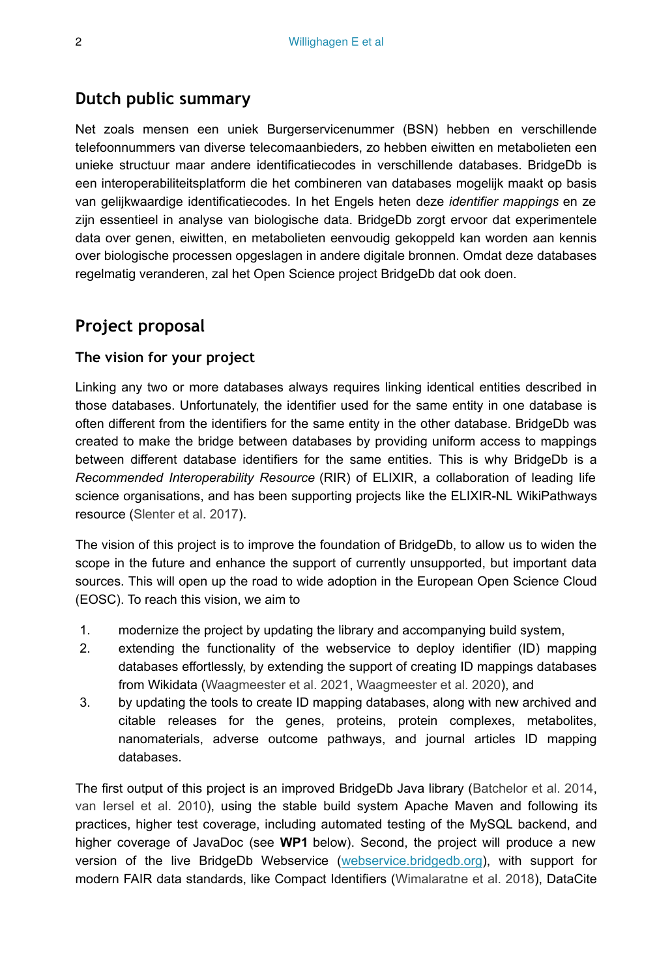# **Dutch public summary**

Net zoals mensen een uniek Burgerservicenummer (BSN) hebben en verschillende telefoonnummers van diverse telecomaanbieders, zo hebben eiwitten en metabolieten een unieke structuur maar andere identificatiecodes in verschillende databases. BridgeDb is een interoperabiliteitsplatform die het combineren van databases mogelijk maakt op basis van gelijkwaardige identificatiecodes. In het Engels heten deze *identifier mappings* en ze zijn essentieel in analyse van biologische data. BridgeDb zorgt ervoor dat experimentele data over genen, eiwitten, en metabolieten eenvoudig gekoppeld kan worden aan kennis over biologische processen opgeslagen in andere digitale bronnen. Omdat deze databases regelmatig veranderen, zal het Open Science project BridgeDb dat ook doen.

# **Project proposal**

#### **The vision for your project**

Linking any two or more databases always requires linking identical entities described in those databases. Unfortunately, the identifier used for the same entity in one database is often different from the identifiers for the same entity in the other database. BridgeDb was created to make the bridge between databases by providing uniform access to mappings between different database identifiers for the same entities. This is why BridgeDb is a *Recommended Interoperability Resource* (RIR) of ELIXIR, a collaboration of leading life science organisations, and has been supporting projects like the ELIXIR-NL WikiPathways resource ([Slenter et al. 2017](#page-7-0)).

The vision of this project is to improve the foundation of BridgeDb, to allow us to widen the scope in the future and enhance the support of currently unsupported, but important data sources. This will open up the road to wide adoption in the European Open Science Cloud (EOSC). To reach this vision, we aim to

- 1. modernize the project by updating the library and accompanying build system,
- 2. extending the functionality of the webservice to deploy identifier (ID) mapping databases effortlessly, by extending the support of creating ID mappings databases from Wikidata ([Waagmeester et al. 2021](#page-8-0), [Waagmeester et al. 2020](#page-7-1)), and
- 3. by updating the tools to create ID mapping databases, along with new archived and citable releases for the genes, proteins, protein complexes, metabolites, nanomaterials, adverse outcome pathways, and journal articles ID mapping databases.

The first output of this project is an improved BridgeDb Java library ([Batchelor et al. 2014,](#page-7-2) [van Iersel et al. 2010\)](#page-7-3), using the stable build system Apache Maven and following its practices, higher test coverage, including automated testing of the MySQL backend, and higher coverage of JavaDoc (see **WP1** below). Second, the project will produce a new version of the live BridgeDb Webservice ([webservice.bridgedb.org\)](http://webservice.bridgedb.org/), with support for modern FAIR data standards, like Compact Identifiers ([Wimalaratne et al. 2018\)](#page-8-1), DataCite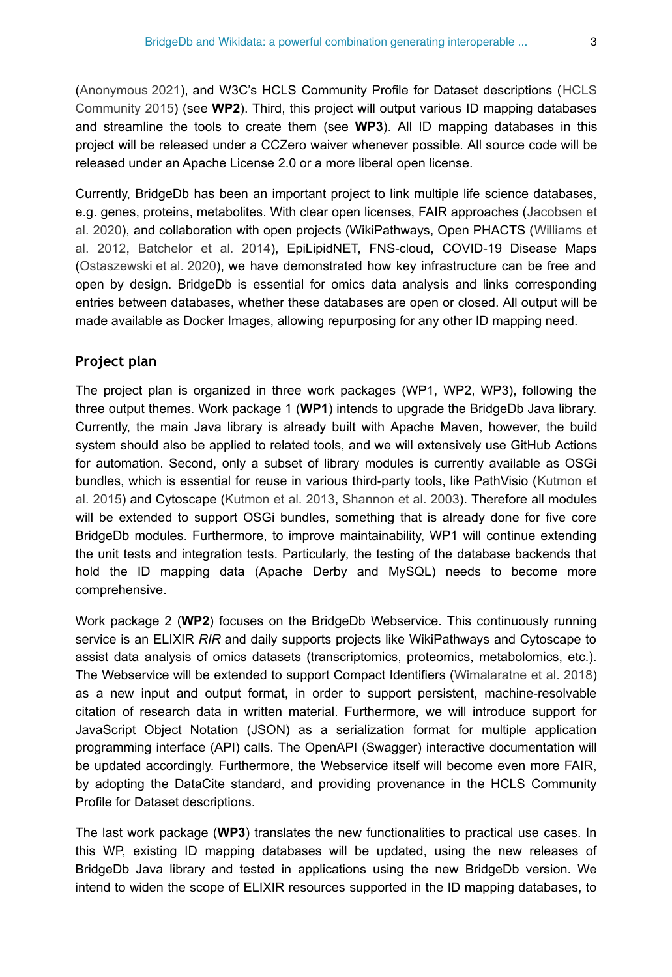[\(Anonymous 2021](#page-6-0)), and W3C's HCLS Community Profile for Dataset descriptions ([HCLS](#page-7-4) [Community 2015](#page-7-4)) (see **WP2**). Third, this project will output various ID mapping databases and streamline the tools to create them (see **WP3**). All ID mapping databases in this project will be released under a CCZero waiver whenever possible. All source code will be released under an Apache License 2.0 or a more liberal open license.

Currently, BridgeDb has been an important project to link multiple life science databases, e.g. genes, proteins, metabolites. With clear open licenses, FAIR approaches ([Jacobsen et](#page-7-5) [al. 2020\)](#page-7-5), and collaboration with open projects (WikiPathways, Open PHACTS ([Williams et](#page-8-2) [al. 2012,](#page-8-2) [Batchelor et al. 2014](#page-7-2)), EpiLipidNET, FNS-cloud, COVID-19 Disease Maps [\(Ostaszewski et al. 2020](#page-7-6)), we have demonstrated how key infrastructure can be free and open by design. BridgeDb is essential for omics data analysis and links corresponding entries between databases, whether these databases are open or closed. All output will be made available as Docker Images, allowing repurposing for any other ID mapping need.

### **Project plan**

The project plan is organized in three work packages (WP1, WP2, WP3), following the three output themes. Work package 1 (**WP1**) intends to upgrade the BridgeDb Java library. Currently, the main Java library is already built with Apache Maven, however, the build system should also be applied to related tools, and we will extensively use GitHub Actions for automation. Second, only a subset of library modules is currently available as OSGi bundles, which is essential for reuse in various third-party tools, like PathVisio ([Kutmon et](#page-7-7) [al. 2015\)](#page-7-7) and Cytoscape ([Kutmon et al. 2013,](#page-7-8) [Shannon et al. 2003\)](#page-7-9). Therefore all modules will be extended to support OSGi bundles, something that is already done for five core BridgeDb modules. Furthermore, to improve maintainability, WP1 will continue extending the unit tests and integration tests. Particularly, the testing of the database backends that hold the ID mapping data (Apache Derby and MySQL) needs to become more comprehensive.

Work package 2 (**WP2**) focuses on the BridgeDb Webservice. This continuously running service is an ELIXIR *RIR* and daily supports projects like WikiPathways and Cytoscape to assist data analysis of omics datasets (transcriptomics, proteomics, metabolomics, etc.). The Webservice will be extended to support Compact Identifiers ([Wimalaratne et al. 2018](#page-8-1)) as a new input and output format, in order to support persistent, machine-resolvable citation of research data in written material. Furthermore, we will introduce support for JavaScript Object Notation (JSON) as a serialization format for multiple application programming interface (API) calls. The OpenAPI (Swagger) interactive documentation will be updated accordingly. Furthermore, the Webservice itself will become even more FAIR, by adopting the DataCite standard, and providing provenance in the HCLS Community Profile for Dataset descriptions.

The last work package (**WP3**) translates the new functionalities to practical use cases. In this WP, existing ID mapping databases will be updated, using the new releases of BridgeDb Java library and tested in applications using the new BridgeDb version. We intend to widen the scope of ELIXIR resources supported in the ID mapping databases, to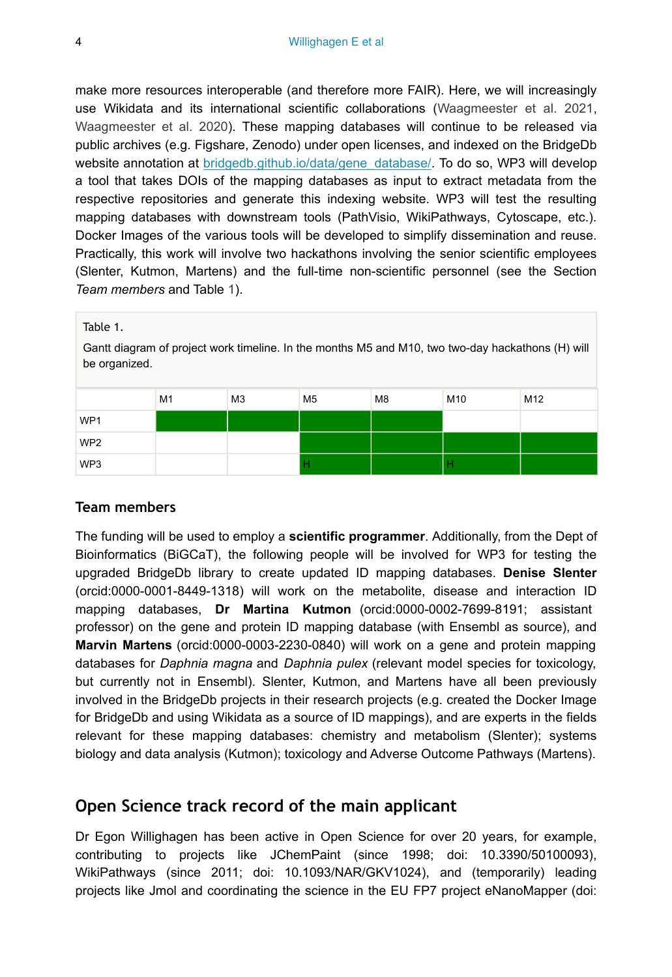make more resources interoperable (and therefore more FAIR). Here, we will increasingly use Wikidata and its international scientific collaborations [\(Waagmeester et al. 2021,](#page-8-0) [Waagmeester et al. 2020\)](#page-7-1). These mapping databases will continue to be released via public archives (e.g. Figshare, Zenodo) under open licenses, and indexed on the BridgeDb website annotation at [bridgedb.github.io/data/gene\\_database/](https://bridgedb.github.io/data/gene_database/). To do so, WP3 will develop a tool that takes DOIs of the mapping databases as input to extract metadata from the respective repositories and generate this indexing website. WP3 will test the resulting mapping databases with downstream tools (PathVisio, WikiPathways, Cytoscape, etc.). Docker Images of the various tools will be developed to simplify dissemination and reuse. Practically, this work will involve two hackathons involving the senior scientific employees (Slenter, Kutmon, Martens) and the full-time non-scientific personnel (see the Section *Team members* and Table [1\)](#page-3-0).

<span id="page-3-0"></span>

#### **Team members**

The funding will be used to employ a **scientific programmer**. Additionally, from the Dept of Bioinformatics (BiGCaT), the following people will be involved for WP3 for testing the upgraded BridgeDb library to create updated ID mapping databases. **Denise Slenter** (orcid:0000-0001-8449-1318) will work on the metabolite, disease and interaction ID mapping databases, **Dr Martina Kutmon** (orcid:0000-0002-7699-8191; assistant professor) on the gene and protein ID mapping database (with Ensembl as source), and **Marvin Martens** (orcid:0000-0003-2230-0840) will work on a gene and protein mapping databases for *Daphnia magna* and *Daphnia pulex* (relevant model species for toxicology, but currently not in Ensembl). Slenter, Kutmon, and Martens have all been previously involved in the BridgeDb projects in their research projects (e.g. created the Docker Image for BridgeDb and using Wikidata as a source of ID mappings), and are experts in the fields relevant for these mapping databases: chemistry and metabolism (Slenter); systems biology and data analysis (Kutmon); toxicology and Adverse Outcome Pathways (Martens).

# **Open Science track record of the main applicant**

Dr Egon Willighagen has been active in Open Science for over 20 years, for example, contributing to projects like JChemPaint (since 1998; doi: 10.3390/50100093), WikiPathways (since 2011; doi: 10.1093/NAR/GKV1024), and (temporarily) leading projects like Jmol and coordinating the science in the EU FP7 project eNanoMapper (doi: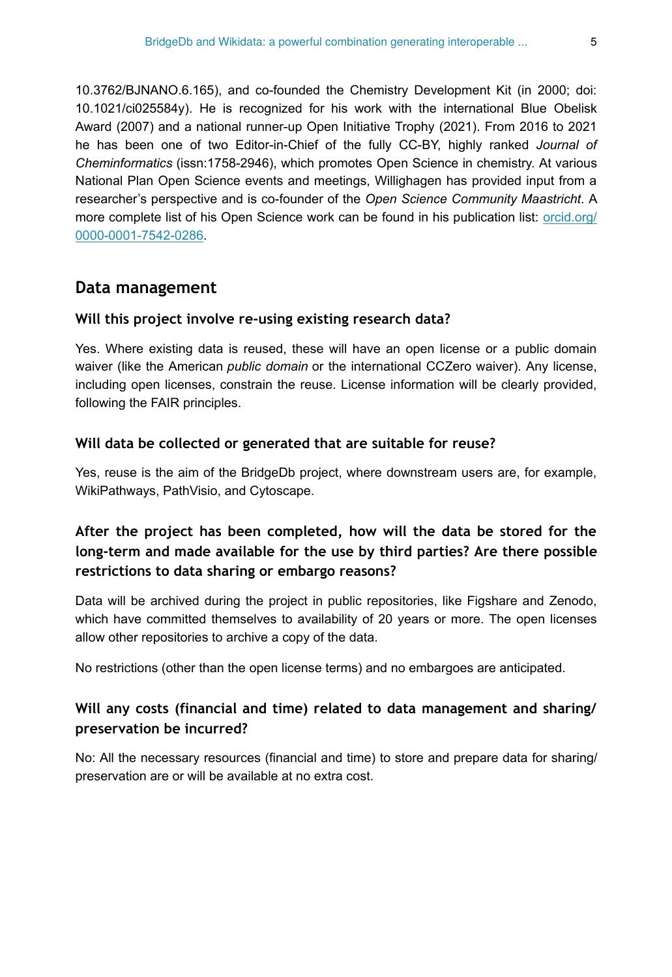10.3762/BJNANO.6.165), and co-founded the Chemistry Development Kit (in 2000; doi: 10.1021/ci025584y). He is recognized for his work with the international Blue Obelisk Award (2007) and a national runner-up Open Initiative Trophy (2021). From 2016 to 2021 he has been one of two Editor-in-Chief of the fully CC-BY, highly ranked *Journal of Cheminformatics* (issn:1758-2946), which promotes Open Science in chemistry. At various National Plan Open Science events and meetings, Willighagen has provided input from a researcher's perspective and is co-founder of the *Open Science Community Maastricht*. A more complete list of his Open Science work can be found in his publication list: [orcid.org/](https://orcid.org/0000-0001-7542-0286) [0000-0001-7542-0286.](https://orcid.org/0000-0001-7542-0286)

#### **Data management**

#### **Will this project involve re-using existing research data?**

Yes. Where existing data is reused, these will have an open license or a public domain waiver (like the American *public domain* or the international CCZero waiver). Any license, including open licenses, constrain the reuse. License information will be clearly provided, following the FAIR principles.

#### **Will data be collected or generated that are suitable for reuse?**

Yes, reuse is the aim of the BridgeDb project, where downstream users are, for example, WikiPathways, PathVisio, and Cytoscape.

# **After the project has been completed, how will the data be stored for the long-term and made available for the use by third parties? Are there possible restrictions to data sharing or embargo reasons?**

Data will be archived during the project in public repositories, like Figshare and Zenodo, which have committed themselves to availability of 20 years or more. The open licenses allow other repositories to archive a copy of the data.

No restrictions (other than the open license terms) and no embargoes are anticipated.

### **Will any costs (financial and time) related to data management and sharing/ preservation be incurred?**

No: All the necessary resources (financial and time) to store and prepare data for sharing/ preservation are or will be available at no extra cost.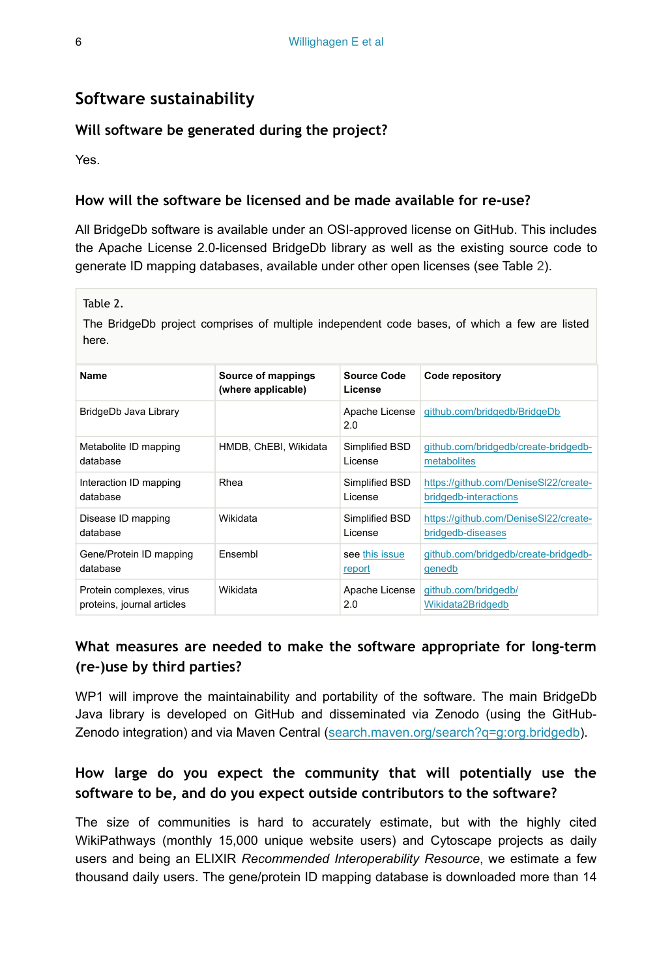# **Software sustainability**

#### **Will software be generated during the project?**

Yes.

#### **How will the software be licensed and be made available for re-use?**

All BridgeDb software is available under an OSI-approved license on GitHub. This includes the Apache License 2.0-licensed BridgeDb library as well as the existing source code to generate ID mapping databases, available under other open licenses (see Table [2](#page-5-0)).

<span id="page-5-0"></span>Table 2.

The BridgeDb project comprises of multiple independent code bases, of which a few are listed here.

| Name                       | Source of mappings<br>(where applicable) | Source Code<br>License | Code repository                       |
|----------------------------|------------------------------------------|------------------------|---------------------------------------|
| BridgeDb Java Library      |                                          | Apache License<br>2.0  | github.com/bridgedb/BridgeDb          |
| Metabolite ID mapping      | HMDB, ChEBI, Wikidata                    | Simplified BSD         | qithub.com/bridgedb/create-bridgedb-  |
| database                   |                                          | License                | metabolites                           |
| Interaction ID mapping     | Rhea                                     | Simplified BSD         | https://github.com/DeniseSI22/create- |
| database                   |                                          | License                | bridgedb-interactions                 |
| Disease ID mapping         | Wikidata                                 | Simplified BSD         | https://github.com/DeniseSI22/create- |
| database                   |                                          | License                | bridgedb-diseases                     |
| Gene/Protein ID mapping    | Ensembl                                  | see this issue         | qithub.com/bridgedb/create-bridgedb-  |
| database                   |                                          | report                 | genedb                                |
| Protein complexes, virus   | Wikidata                                 | Apache License         | qithub.com/bridgedb/                  |
| proteins, journal articles |                                          | 2.0                    | Wikidata2Bridgedb                     |

# **What measures are needed to make the software appropriate for long-term (re-)use by third parties?**

WP1 will improve the maintainability and portability of the software. The main BridgeDb Java library is developed on GitHub and disseminated via Zenodo (using the GitHub-Zenodo integration) and via Maven Central ([search.maven.org/search?q=g:org.bridgedb](https://search.maven.org/search?q=g:org.bridgedb)).

# **How large do you expect the community that will potentially use the software to be, and do you expect outside contributors to the software?**

The size of communities is hard to accurately estimate, but with the highly cited WikiPathways (monthly 15,000 unique website users) and Cytoscape projects as daily users and being an ELIXIR *Recommended Interoperability Resource*, we estimate a few thousand daily users. The gene/protein ID mapping database is downloaded more than 14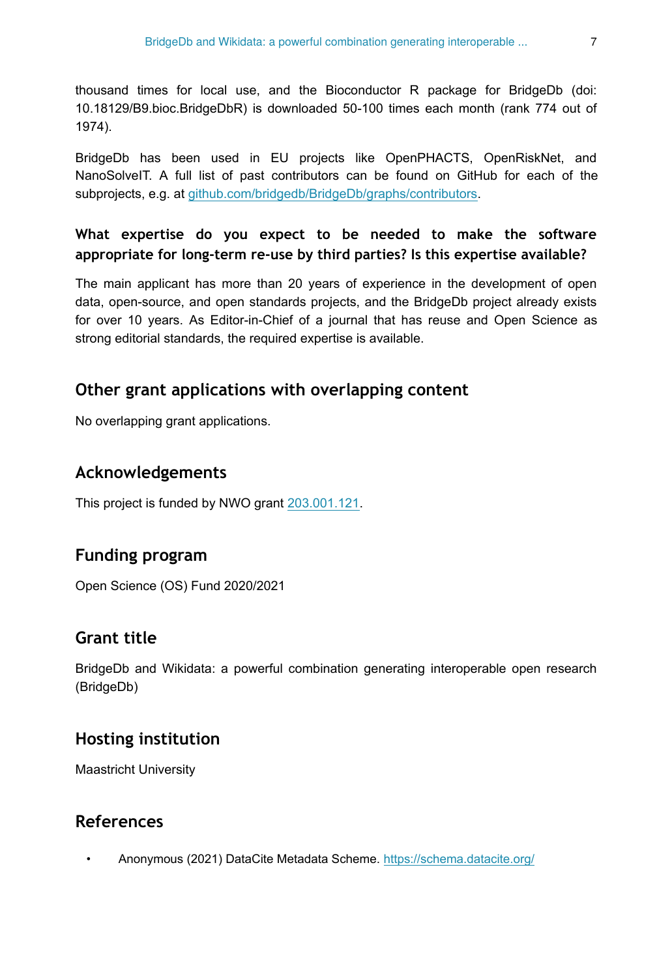thousand times for local use, and the Bioconductor R package for BridgeDb (doi: 10.18129/B9.bioc.BridgeDbR) is downloaded 50-100 times each month (rank 774 out of 1974).

BridgeDb has been used in EU projects like OpenPHACTS, OpenRiskNet, and NanoSolveIT. A full list of past contributors can be found on GitHub for each of the subprojects, e.g. at [github.com/bridgedb/BridgeDb/graphs/contributors](https://github.com/bridgedb/BridgeDb/graphs/contributors).

# **What expertise do you expect to be needed to make the software appropriate for long-term re-use by third parties? Is this expertise available?**

The main applicant has more than 20 years of experience in the development of open data, open-source, and open standards projects, and the BridgeDb project already exists for over 10 years. As Editor-in-Chief of a journal that has reuse and Open Science as strong editorial standards, the required expertise is available.

# **Other grant applications with overlapping content**

No overlapping grant applications.

# **Acknowledgements**

This project is funded by NWO grant [203.001.121](https://www.nwo.nl/en/projects/203001121).

# **Funding program**

Open Science (OS) Fund 2020/2021

# **Grant title**

BridgeDb and Wikidata: a powerful combination generating interoperable open research (BridgeDb)

# **Hosting institution**

Maastricht University

# **References**

<span id="page-6-0"></span>• Anonymous (2021) DataCite Metadata Scheme. <https://schema.datacite.org/>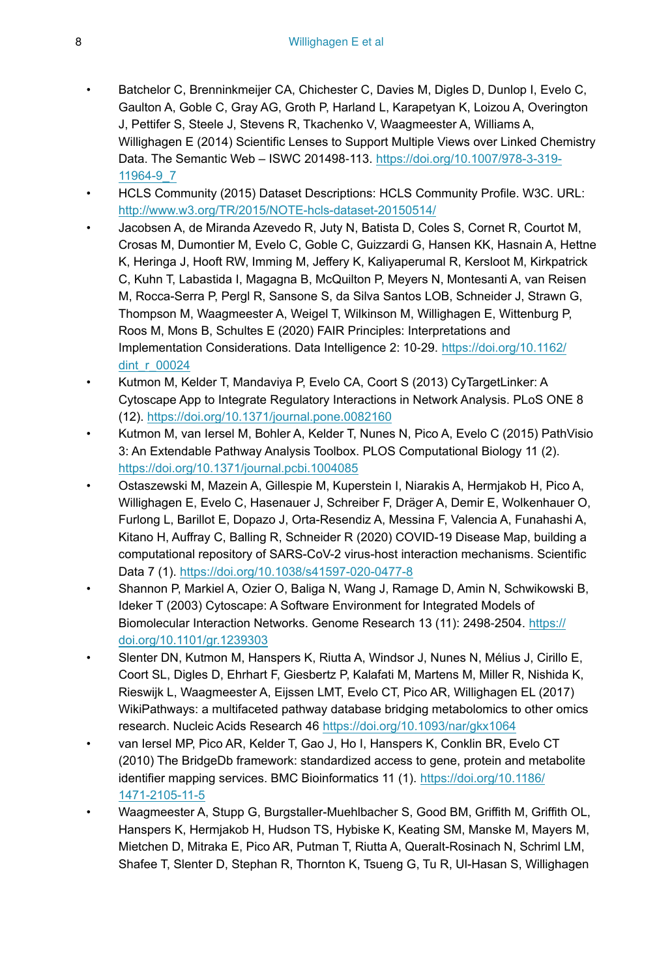- <span id="page-7-2"></span>• Batchelor C, Brenninkmeijer CA, Chichester C, Davies M, Digles D, Dunlop I, Evelo C, Gaulton A, Goble C, Gray AG, Groth P, Harland L, Karapetyan K, Loizou A, Overington J, Pettifer S, Steele J, Stevens R, Tkachenko V, Waagmeester A, Williams A, Willighagen E (2014) Scientific Lenses to Support Multiple Views over Linked Chemistry Data. The Semantic Web – ISWC 201498‑113. [https://doi.org/10.1007/978-3-319-](https://doi.org/10.1007/978-3-319-11964-9_7) [11964-9\\_7](https://doi.org/10.1007/978-3-319-11964-9_7)
- <span id="page-7-4"></span>• HCLS Community (2015) Dataset Descriptions: HCLS Community Profile. W3C. URL: <http://www.w3.org/TR/2015/NOTE-hcls-dataset-20150514/>
- <span id="page-7-5"></span>• Jacobsen A, de Miranda Azevedo R, Juty N, Batista D, Coles S, Cornet R, Courtot M, Crosas M, Dumontier M, Evelo C, Goble C, Guizzardi G, Hansen KK, Hasnain A, Hettne K, Heringa J, Hooft RW, Imming M, Jeffery K, Kaliyaperumal R, Kersloot M, Kirkpatrick C, Kuhn T, Labastida I, Magagna B, McQuilton P, Meyers N, Montesanti A, van Reisen M, Rocca-Serra P, Pergl R, Sansone S, da Silva Santos LOB, Schneider J, Strawn G, Thompson M, Waagmeester A, Weigel T, Wilkinson M, Willighagen E, Wittenburg P, Roos M, Mons B, Schultes E (2020) FAIR Principles: Interpretations and Implementation Considerations. Data Intelligence 2: 10‑29. [https://doi.org/10.1162/](https://doi.org/10.1162/dint_r_00024) [dint\\_r\\_00024](https://doi.org/10.1162/dint_r_00024)
- <span id="page-7-8"></span>• Kutmon M, Kelder T, Mandaviya P, Evelo CA, Coort S (2013) CyTargetLinker: A Cytoscape App to Integrate Regulatory Interactions in Network Analysis. PLoS ONE 8 (12).<https://doi.org/10.1371/journal.pone.0082160>
- <span id="page-7-7"></span>• Kutmon M, van Iersel M, Bohler A, Kelder T, Nunes N, Pico A, Evelo C (2015) PathVisio 3: An Extendable Pathway Analysis Toolbox. PLOS Computational Biology 11 (2). <https://doi.org/10.1371/journal.pcbi.1004085>
- <span id="page-7-6"></span>• Ostaszewski M, Mazein A, Gillespie M, Kuperstein I, Niarakis A, Hermjakob H, Pico A, Willighagen E, Evelo C, Hasenauer J, Schreiber F, Dräger A, Demir E, Wolkenhauer O, Furlong L, Barillot E, Dopazo J, Orta-Resendiz A, Messina F, Valencia A, Funahashi A, Kitano H, Auffray C, Balling R, Schneider R (2020) COVID-19 Disease Map, building a computational repository of SARS-CoV-2 virus-host interaction mechanisms. Scientific Data 7 (1).<https://doi.org/10.1038/s41597-020-0477-8>
- <span id="page-7-9"></span>• Shannon P, Markiel A, Ozier O, Baliga N, Wang J, Ramage D, Amin N, Schwikowski B, Ideker T (2003) Cytoscape: A Software Environment for Integrated Models of Biomolecular Interaction Networks. Genome Research 13 (11): 2498-2504. [https://](https://doi.org/10.1101/gr.1239303) [doi.org/10.1101/gr.1239303](https://doi.org/10.1101/gr.1239303)
- <span id="page-7-0"></span>• Slenter DN, Kutmon M, Hanspers K, Riutta A, Windsor J, Nunes N, Mélius J, Cirillo E, Coort SL, Digles D, Ehrhart F, Giesbertz P, Kalafati M, Martens M, Miller R, Nishida K, Rieswijk L, Waagmeester A, Eijssen LMT, Evelo CT, Pico AR, Willighagen EL (2017) WikiPathways: a multifaceted pathway database bridging metabolomics to other omics research. Nucleic Acids Research 46 <https://doi.org/10.1093/nar/gkx1064>
- <span id="page-7-3"></span>van Iersel MP, Pico AR, Kelder T, Gao J, Ho I, Hanspers K, Conklin BR, Evelo CT (2010) The BridgeDb framework: standardized access to gene, protein and metabolite identifier mapping services. BMC Bioinformatics 11 (1). [https://doi.org/10.1186/](https://doi.org/10.1186/1471-2105-11-5) [1471-2105-11-5](https://doi.org/10.1186/1471-2105-11-5)
- <span id="page-7-1"></span>• Waagmeester A, Stupp G, Burgstaller-Muehlbacher S, Good BM, Griffith M, Griffith OL, Hanspers K, Hermjakob H, Hudson TS, Hybiske K, Keating SM, Manske M, Mayers M, Mietchen D, Mitraka E, Pico AR, Putman T, Riutta A, Queralt-Rosinach N, Schriml LM, Shafee T, Slenter D, Stephan R, Thornton K, Tsueng G, Tu R, Ul-Hasan S, Willighagen